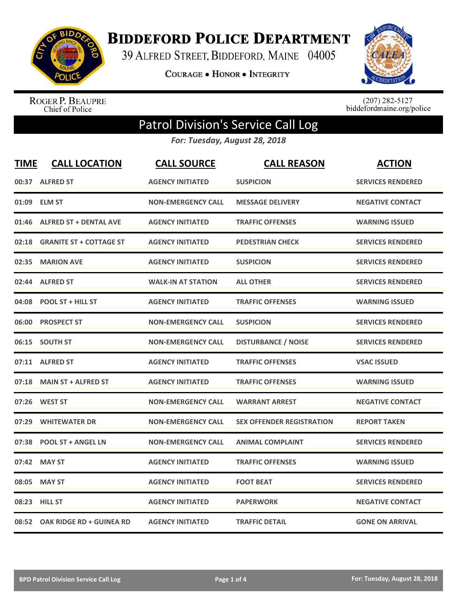

**BIDDEFORD POLICE DEPARTMENT** 

39 ALFRED STREET, BIDDEFORD, MAINE 04005

**COURAGE . HONOR . INTEGRITY** 



ROGER P. BEAUPRE<br>Chief of Police

 $(207)$  282-5127<br>biddefordmaine.org/police

## Patrol Division's Service Call Log

*For: Tuesday, August 28, 2018*

| <b>TIME</b> | <b>CALL LOCATION</b>            | <b>CALL SOURCE</b>        | <b>CALL REASON</b>               | <b>ACTION</b>            |
|-------------|---------------------------------|---------------------------|----------------------------------|--------------------------|
| 00:37       | <b>ALFRED ST</b>                | <b>AGENCY INITIATED</b>   | <b>SUSPICION</b>                 | <b>SERVICES RENDERED</b> |
|             | 01:09 ELM ST                    | <b>NON-EMERGENCY CALL</b> | <b>MESSAGE DELIVERY</b>          | <b>NEGATIVE CONTACT</b>  |
| 01:46       | <b>ALFRED ST + DENTAL AVE</b>   | <b>AGENCY INITIATED</b>   | <b>TRAFFIC OFFENSES</b>          | <b>WARNING ISSUED</b>    |
| 02:18       | <b>GRANITE ST + COTTAGE ST</b>  | <b>AGENCY INITIATED</b>   | <b>PEDESTRIAN CHECK</b>          | <b>SERVICES RENDERED</b> |
| 02:35       | <b>MARION AVE</b>               | <b>AGENCY INITIATED</b>   | <b>SUSPICION</b>                 | <b>SERVICES RENDERED</b> |
| 02:44       | <b>ALFRED ST</b>                | <b>WALK-IN AT STATION</b> | <b>ALL OTHER</b>                 | <b>SERVICES RENDERED</b> |
| 04:08       | <b>POOL ST + HILL ST</b>        | <b>AGENCY INITIATED</b>   | <b>TRAFFIC OFFENSES</b>          | <b>WARNING ISSUED</b>    |
| 06:00       | <b>PROSPECT ST</b>              | <b>NON-EMERGENCY CALL</b> | <b>SUSPICION</b>                 | <b>SERVICES RENDERED</b> |
| 06:15       | <b>SOUTH ST</b>                 | <b>NON-EMERGENCY CALL</b> | <b>DISTURBANCE / NOISE</b>       | <b>SERVICES RENDERED</b> |
| 07:11       | <b>ALFRED ST</b>                | <b>AGENCY INITIATED</b>   | <b>TRAFFIC OFFENSES</b>          | <b>VSAC ISSUED</b>       |
| 07:18       | <b>MAIN ST + ALFRED ST</b>      | <b>AGENCY INITIATED</b>   | <b>TRAFFIC OFFENSES</b>          | <b>WARNING ISSUED</b>    |
| 07:26       | <b>WEST ST</b>                  | <b>NON-EMERGENCY CALL</b> | <b>WARRANT ARREST</b>            | <b>NEGATIVE CONTACT</b>  |
| 07:29       | <b>WHITEWATER DR</b>            | <b>NON-EMERGENCY CALL</b> | <b>SEX OFFENDER REGISTRATION</b> | <b>REPORT TAKEN</b>      |
| 07:38       | <b>POOL ST + ANGEL LN</b>       | <b>NON-EMERGENCY CALL</b> | <b>ANIMAL COMPLAINT</b>          | <b>SERVICES RENDERED</b> |
| 07:42       | <b>MAY ST</b>                   | <b>AGENCY INITIATED</b>   | <b>TRAFFIC OFFENSES</b>          | <b>WARNING ISSUED</b>    |
| 08:05       | <b>MAY ST</b>                   | <b>AGENCY INITIATED</b>   | <b>FOOT BEAT</b>                 | <b>SERVICES RENDERED</b> |
|             | 08:23 HILL ST                   | <b>AGENCY INITIATED</b>   | <b>PAPERWORK</b>                 | <b>NEGATIVE CONTACT</b>  |
| 08:52       | <b>OAK RIDGE RD + GUINEA RD</b> | <b>AGENCY INITIATED</b>   | <b>TRAFFIC DETAIL</b>            | <b>GONE ON ARRIVAL</b>   |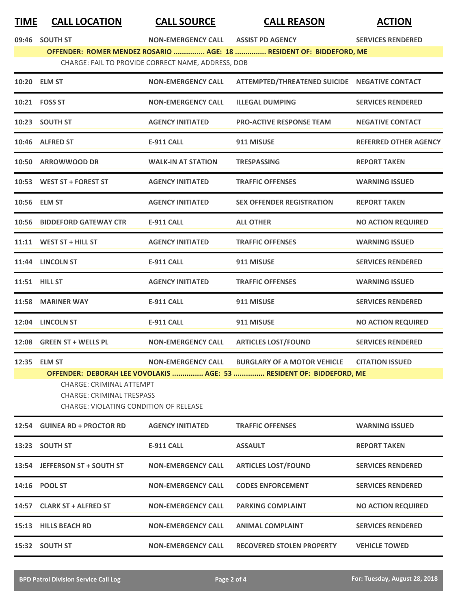## **TIME CALL LOCATION CALL SOURCE CALL REASON ACTION**

| 09:46 | <b>SOUTH ST</b> |  |
|-------|-----------------|--|
|       |                 |  |

**09:46 NON SOUTH ST ‐EMERGENCY CALL ASSIST PD AGENCY SERVICES RENDERED OFFENDER: ROMER MENDEZ ROSARIO ............... AGE: 18 ............... RESIDENT OF: BIDDEFORD, ME** CHARGE: FAIL TO PROVIDE CORRECT NAME, ADDRESS, DOB

| 10:20 ELM ST                                                                                                                                                                                 | <b>NON-EMERGENCY CALL</b> | ATTEMPTED/THREATENED SUICIDE NEGATIVE CONTACT |                              |
|----------------------------------------------------------------------------------------------------------------------------------------------------------------------------------------------|---------------------------|-----------------------------------------------|------------------------------|
| 10:21 FOSS ST                                                                                                                                                                                | <b>NON-EMERGENCY CALL</b> | <b>ILLEGAL DUMPING</b>                        | <b>SERVICES RENDERED</b>     |
| 10:23 SOUTH ST                                                                                                                                                                               | <b>AGENCY INITIATED</b>   | <b>PRO-ACTIVE RESPONSE TEAM</b>               | <b>NEGATIVE CONTACT</b>      |
| 10:46 ALFRED ST                                                                                                                                                                              | <b>E-911 CALL</b>         | 911 MISUSE                                    | <b>REFERRED OTHER AGENCY</b> |
| 10:50 ARROWWOOD DR                                                                                                                                                                           | <b>WALK-IN AT STATION</b> | <b>TRESPASSING</b>                            | <b>REPORT TAKEN</b>          |
| 10:53 WEST ST + FOREST ST                                                                                                                                                                    | <b>AGENCY INITIATED</b>   | <b>TRAFFIC OFFENSES</b>                       | <b>WARNING ISSUED</b>        |
| 10:56 ELM ST                                                                                                                                                                                 | <b>AGENCY INITIATED</b>   | <b>SEX OFFENDER REGISTRATION</b>              | <b>REPORT TAKEN</b>          |
| 10:56 BIDDEFORD GATEWAY CTR                                                                                                                                                                  | <b>E-911 CALL</b>         | <b>ALL OTHER</b>                              | <b>NO ACTION REQUIRED</b>    |
| 11:11 WEST ST + HILL ST                                                                                                                                                                      | <b>AGENCY INITIATED</b>   | <b>TRAFFIC OFFENSES</b>                       | <b>WARNING ISSUED</b>        |
| 11:44 LINCOLN ST                                                                                                                                                                             | <b>E-911 CALL</b>         | 911 MISUSE                                    | <b>SERVICES RENDERED</b>     |
| <b>11:51 HILL ST</b>                                                                                                                                                                         | <b>AGENCY INITIATED</b>   | <b>TRAFFIC OFFENSES</b>                       | <b>WARNING ISSUED</b>        |
| 11:58 MARINER WAY                                                                                                                                                                            | <b>E-911 CALL</b>         | 911 MISUSE                                    | <b>SERVICES RENDERED</b>     |
| 12:04 LINCOLN ST                                                                                                                                                                             | <b>E-911 CALL</b>         | 911 MISUSE                                    | <b>NO ACTION REQUIRED</b>    |
| 12:08 GREEN ST + WELLS PL                                                                                                                                                                    | <b>NON-EMERGENCY CALL</b> | <b>ARTICLES LOST/FOUND</b>                    | <b>SERVICES RENDERED</b>     |
| 12:35 ELM ST                                                                                                                                                                                 | <b>NON-EMERGENCY CALL</b> | <b>BURGLARY OF A MOTOR VEHICLE</b>            | <b>CITATION ISSUED</b>       |
| OFFENDER: DEBORAH LEE VOVOLAKIS  AGE: 53  RESIDENT OF: BIDDEFORD, ME<br><b>CHARGE: CRIMINAL ATTEMPT</b><br><b>CHARGE: CRIMINAL TRESPASS</b><br><b>CHARGE: VIOLATING CONDITION OF RELEASE</b> |                           |                                               |                              |
| 12:54 GUINEA RD + PROCTOR RD                                                                                                                                                                 | <b>AGENCY INITIATED</b>   | <b>TRAFFIC OFFENSES</b>                       | <b>WARNING ISSUED</b>        |
| 13:23 SOUTH ST                                                                                                                                                                               | <b>E-911 CALL</b>         | <b>ASSAULT</b>                                | <b>REPORT TAKEN</b>          |
| 13:54 JEFFERSON ST + SOUTH ST                                                                                                                                                                | <b>NON-EMERGENCY CALL</b> | <b>ARTICLES LOST/FOUND</b>                    | <b>SERVICES RENDERED</b>     |
| 14:16 POOL ST                                                                                                                                                                                | <b>NON-EMERGENCY CALL</b> | <b>CODES ENFORCEMENT</b>                      | <b>SERVICES RENDERED</b>     |
| 14:57 CLARK ST + ALFRED ST                                                                                                                                                                   | <b>NON-EMERGENCY CALL</b> | <b>PARKING COMPLAINT</b>                      | <b>NO ACTION REQUIRED</b>    |
| 15:13 HILLS BEACH RD                                                                                                                                                                         | <b>NON-EMERGENCY CALL</b> | <b>ANIMAL COMPLAINT</b>                       | <b>SERVICES RENDERED</b>     |
| 15:32 SOUTH ST                                                                                                                                                                               | <b>NON-EMERGENCY CALL</b> | <b>RECOVERED STOLEN PROPERTY</b>              | <b>VEHICLE TOWED</b>         |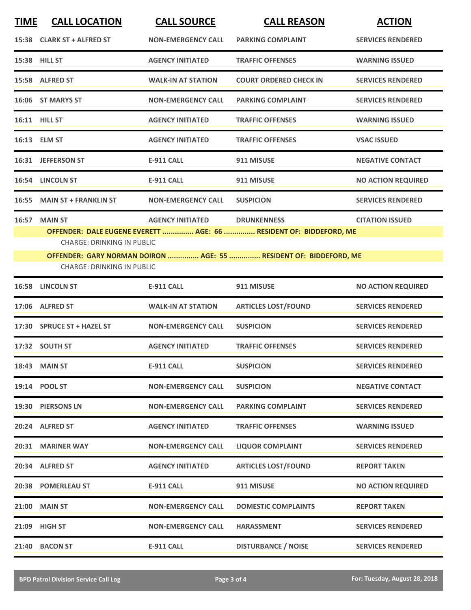| <b>TIME</b> | <b>CALL LOCATION</b>                                                                                    | <b>CALL SOURCE</b>        | <b>CALL REASON</b>                                                | <b>ACTION</b>             |  |
|-------------|---------------------------------------------------------------------------------------------------------|---------------------------|-------------------------------------------------------------------|---------------------------|--|
|             | 15:38 CLARK ST + ALFRED ST                                                                              | <b>NON-EMERGENCY CALL</b> | <b>PARKING COMPLAINT</b>                                          | <b>SERVICES RENDERED</b>  |  |
|             | 15:38 HILL ST                                                                                           | <b>AGENCY INITIATED</b>   | <b>TRAFFIC OFFENSES</b>                                           | <b>WARNING ISSUED</b>     |  |
|             | 15:58 ALFRED ST                                                                                         | <b>WALK-IN AT STATION</b> | <b>COURT ORDERED CHECK IN</b>                                     | <b>SERVICES RENDERED</b>  |  |
|             | 16:06 ST MARYS ST                                                                                       | <b>NON-EMERGENCY CALL</b> | <b>PARKING COMPLAINT</b>                                          | <b>SERVICES RENDERED</b>  |  |
|             | 16:11 HILL ST                                                                                           | <b>AGENCY INITIATED</b>   | <b>TRAFFIC OFFENSES</b>                                           | <b>WARNING ISSUED</b>     |  |
|             | 16:13 ELM ST                                                                                            | <b>AGENCY INITIATED</b>   | <b>TRAFFIC OFFENSES</b>                                           | <b>VSAC ISSUED</b>        |  |
|             | 16:31 JEFFERSON ST                                                                                      | <b>E-911 CALL</b>         | 911 MISUSE                                                        | <b>NEGATIVE CONTACT</b>   |  |
|             | 16:54 LINCOLN ST                                                                                        | <b>E-911 CALL</b>         | 911 MISUSE                                                        | <b>NO ACTION REQUIRED</b> |  |
| 16:55       | <b>MAIN ST + FRANKLIN ST</b>                                                                            | <b>NON-EMERGENCY CALL</b> | <b>SUSPICION</b>                                                  | <b>SERVICES RENDERED</b>  |  |
| 16:57       | <b>MAIN ST</b>                                                                                          | <b>AGENCY INITIATED</b>   | <b>DRUNKENNESS</b>                                                | <b>CITATION ISSUED</b>    |  |
|             | OFFENDER: DALE EUGENE EVERETT  AGE: 66  RESIDENT OF: BIDDEFORD, ME<br><b>CHARGE: DRINKING IN PUBLIC</b> |                           |                                                                   |                           |  |
|             |                                                                                                         |                           | OFFENDER: GARY NORMAN DOIRON  AGE: 55  RESIDENT OF: BIDDEFORD, ME |                           |  |
|             | <b>CHARGE: DRINKING IN PUBLIC</b>                                                                       |                           |                                                                   |                           |  |
|             | 16:58 LINCOLN ST                                                                                        | <b>E-911 CALL</b>         | 911 MISUSE                                                        | <b>NO ACTION REQUIRED</b> |  |
|             | 17:06 ALFRED ST                                                                                         | <b>WALK-IN AT STATION</b> | <b>ARTICLES LOST/FOUND</b>                                        | <b>SERVICES RENDERED</b>  |  |
|             | 17:30 SPRUCE ST + HAZEL ST                                                                              | <b>NON-EMERGENCY CALL</b> | <b>SUSPICION</b>                                                  | <b>SERVICES RENDERED</b>  |  |
|             | 17:32 SOUTH ST                                                                                          | <b>AGENCY INITIATED</b>   | <b>TRAFFIC OFFENSES</b>                                           | <b>SERVICES RENDERED</b>  |  |
|             | <b>18:43 MAIN ST</b>                                                                                    | E-911 CALL                | <b>SUSPICION</b>                                                  | <b>SERVICES RENDERED</b>  |  |
|             | 19:14 POOL ST                                                                                           | <b>NON-EMERGENCY CALL</b> | <b>SUSPICION</b>                                                  | <b>NEGATIVE CONTACT</b>   |  |
|             | 19:30 PIERSONS LN                                                                                       | <b>NON-EMERGENCY CALL</b> | <b>PARKING COMPLAINT</b>                                          | <b>SERVICES RENDERED</b>  |  |
|             | 20:24 ALFRED ST                                                                                         | <b>AGENCY INITIATED</b>   | <b>TRAFFIC OFFENSES</b>                                           | <b>WARNING ISSUED</b>     |  |
|             | 20:31 MARINER WAY                                                                                       | <b>NON-EMERGENCY CALL</b> | <b>LIQUOR COMPLAINT</b>                                           | <b>SERVICES RENDERED</b>  |  |
|             | 20:34 ALFRED ST                                                                                         | <b>AGENCY INITIATED</b>   | <b>ARTICLES LOST/FOUND</b>                                        | <b>REPORT TAKEN</b>       |  |
|             | 20:38 POMERLEAU ST                                                                                      | <b>E-911 CALL</b>         | 911 MISUSE                                                        | <b>NO ACTION REQUIRED</b> |  |
|             | 21:00 MAIN ST                                                                                           | <b>NON-EMERGENCY CALL</b> | <b>DOMESTIC COMPLAINTS</b>                                        | <b>REPORT TAKEN</b>       |  |
|             | 21:09 HIGH ST                                                                                           | <b>NON-EMERGENCY CALL</b> | <b>HARASSMENT</b>                                                 | <b>SERVICES RENDERED</b>  |  |
|             | 21:40 BACON ST                                                                                          | <b>E-911 CALL</b>         | <b>DISTURBANCE / NOISE</b>                                        | <b>SERVICES RENDERED</b>  |  |